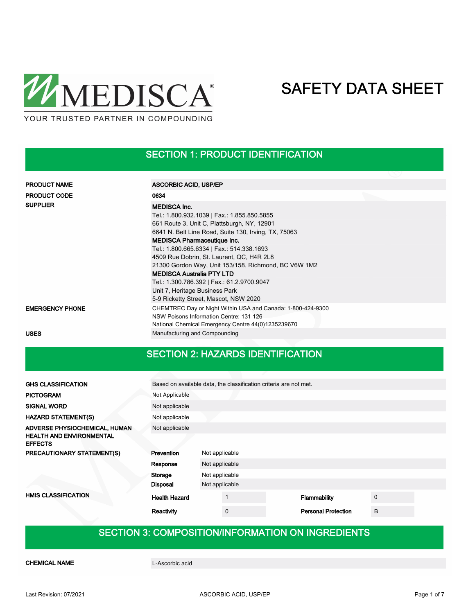

### SECTION 1: PRODUCT IDENTIFICATION

| <b>PRODUCT NAME</b>    | <b>ASCORBIC ACID, USP/EP</b>                                                                                                                                                                                                                                                                                                                                                                                                                                                          |
|------------------------|---------------------------------------------------------------------------------------------------------------------------------------------------------------------------------------------------------------------------------------------------------------------------------------------------------------------------------------------------------------------------------------------------------------------------------------------------------------------------------------|
| <b>PRODUCT CODE</b>    | 0634                                                                                                                                                                                                                                                                                                                                                                                                                                                                                  |
| <b>SUPPLIER</b>        | <b>MEDISCA Inc.</b><br>Tel.: 1.800.932.1039   Fax.: 1.855.850.5855<br>661 Route 3, Unit C, Plattsburgh, NY, 12901<br>6641 N. Belt Line Road, Suite 130, Irving, TX, 75063<br><b>MEDISCA Pharmaceutique Inc.</b><br>Tel.: 1.800.665.6334   Fax.: 514.338.1693<br>4509 Rue Dobrin, St. Laurent, QC, H4R 2L8<br>21300 Gordon Way, Unit 153/158, Richmond, BC V6W 1M2<br><b>MEDISCA Australia PTY LTD</b><br>Tel.: 1.300.786.392   Fax.: 61.2.9700.9047<br>Unit 7, Heritage Business Park |
|                        | 5-9 Ricketty Street, Mascot, NSW 2020                                                                                                                                                                                                                                                                                                                                                                                                                                                 |
| <b>EMERGENCY PHONE</b> | CHEMTREC Day or Night Within USA and Canada: 1-800-424-9300<br>NSW Poisons Information Centre: 131 126<br>National Chemical Emergency Centre 44(0)1235239670                                                                                                                                                                                                                                                                                                                          |
| <b>USES</b>            | Manufacturing and Compounding                                                                                                                                                                                                                                                                                                                                                                                                                                                         |

### SECTION 2: HAZARDS IDENTIFICATION

| <b>GHS CLASSIFICATION</b>                         | Based on available data, the classification criteria are not met. |                |          |  |                            |             |  |
|---------------------------------------------------|-------------------------------------------------------------------|----------------|----------|--|----------------------------|-------------|--|
| <b>PICTOGRAM</b>                                  | Not Applicable                                                    |                |          |  |                            |             |  |
| <b>SIGNAL WORD</b>                                | Not applicable                                                    |                |          |  |                            |             |  |
| <b>HAZARD STATEMENT(S)</b>                        | Not applicable                                                    |                |          |  |                            |             |  |
| ADVERSE PHYSIOCHEMICAL, HUMAN                     | Not applicable                                                    |                |          |  |                            |             |  |
| <b>HEALTH AND ENVIRONMENTAL</b><br><b>EFFECTS</b> |                                                                   |                |          |  |                            |             |  |
| PRECAUTIONARY STATEMENT(S)                        | Prevention                                                        | Not applicable |          |  |                            |             |  |
|                                                   | Response                                                          | Not applicable |          |  |                            |             |  |
|                                                   | Storage<br>Not applicable                                         |                |          |  |                            |             |  |
|                                                   | Disposal                                                          | Not applicable |          |  |                            |             |  |
| <b>HMIS CLASSIFICATION</b>                        | <b>Health Hazard</b>                                              |                |          |  | Flammability               | $\mathbf 0$ |  |
|                                                   | Reactivity                                                        |                | $\Omega$ |  | <b>Personal Protection</b> | B           |  |

## SECTION 3: COMPOSITION/INFORMATION ON INGREDIENTS

CHEMICAL NAME L-Ascorbic acid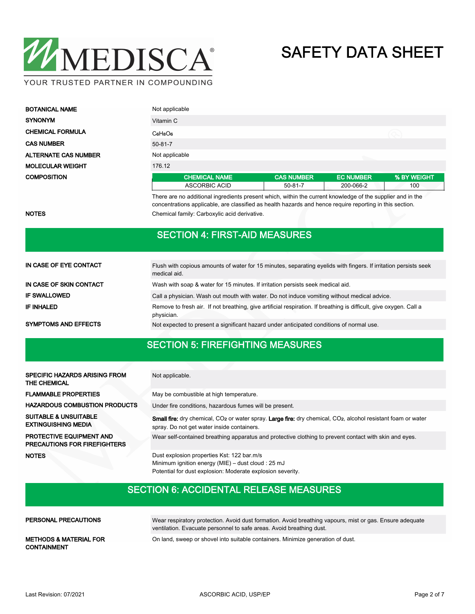

| <b>BOTANICAL NAME</b>       | Not applicable       |                   |                  |             |
|-----------------------------|----------------------|-------------------|------------------|-------------|
| <b>SYNONYM</b>              | Vitamin C            |                   |                  |             |
| <b>CHEMICAL FORMULA</b>     | $C_6H_8O_6$          |                   |                  |             |
| <b>CAS NUMBER</b>           | $50 - 81 - 7$        |                   |                  |             |
| <b>ALTERNATE CAS NUMBER</b> | Not applicable       |                   |                  |             |
| <b>MOLECULAR WEIGHT</b>     | 176.12               |                   |                  |             |
| <b>COMPOSITION</b>          | <b>CHEMICAL NAME</b> | <b>CAS NUMBER</b> | <b>EC NUMBER</b> | % BY WEIGHT |
|                             | <b>ASCORBIC ACID</b> | $50 - 81 - 7$     | 200-066-2        | 100         |

There are no additional ingredients present which, within the current knowledge of the supplier and in the concentrations applicable, are classified as health hazards and hence require reporting in this section. NOTES Chemical family: Carboxylic acid derivative.

### SECTION 4: FIRST-AID MEASURES

| IN CASE OF EYE CONTACT      | Flush with copious amounts of water for 15 minutes, separating eyelids with fingers. If irritation persists seek<br>medical aid. |
|-----------------------------|----------------------------------------------------------------------------------------------------------------------------------|
| IN CASE OF SKIN CONTACT     | Wash with soap & water for 15 minutes. If irritation persists seek medical aid.                                                  |
| <b>IF SWALLOWED</b>         | Call a physician. Wash out mouth with water. Do not induce vomiting without medical advice.                                      |
| <b>IF INHALED</b>           | Remove to fresh air. If not breathing, give artificial respiration. If breathing is difficult, give oxygen. Call a<br>physician. |
| <b>SYMPTOMS AND EFFECTS</b> | Not expected to present a significant hazard under anticipated conditions of normal use.                                         |

### SECTION 5: FIREFIGHTING MEASURES

| <b>SPECIFIC HAZARDS ARISING FROM</b><br><b>THE CHEMICAL</b>            | Not applicable.                                                                                                                                                                            |
|------------------------------------------------------------------------|--------------------------------------------------------------------------------------------------------------------------------------------------------------------------------------------|
| <b>FLAMMABLE PROPERTIES</b>                                            | May be combustible at high temperature.                                                                                                                                                    |
| <b>HAZARDOUS COMBUSTION PRODUCTS</b>                                   | Under fire conditions, hazardous fumes will be present.                                                                                                                                    |
| <b>SUITABLE &amp; UNSUITABLE</b><br><b>EXTINGUISHING MEDIA</b>         | <b>Small fire:</b> dry chemical, CO <sub>2</sub> or water spray. Large fire: dry chemical, CO <sub>2</sub> , alcohol resistant foam or water<br>spray. Do not get water inside containers. |
| <b>PROTECTIVE EQUIPMENT AND</b><br><b>PRECAUTIONS FOR FIREFIGHTERS</b> | Wear self-contained breathing apparatus and protective clothing to prevent contact with skin and eyes.                                                                                     |
| <b>NOTES</b>                                                           | Dust explosion properties Kst: 122 bar.m/s<br>Minimum ignition energy (MIE) – dust cloud : 25 mJ<br>Potential for dust explosion: Moderate explosion severity.                             |

### SECTION 6: ACCIDENTAL RELEASE MEASURES

| PERSONAL PRECAUTIONS                                    | Wear respiratory protection. Avoid dust formation. Avoid breathing vapours, mist or gas. Ensure adequate<br>ventilation. Evacuate personnel to safe areas. Avoid breathing dust. |
|---------------------------------------------------------|----------------------------------------------------------------------------------------------------------------------------------------------------------------------------------|
| <b>METHODS &amp; MATERIAL FOR</b><br><b>CONTAINMENT</b> | On land, sweep or shovel into suitable containers. Minimize generation of dust.                                                                                                  |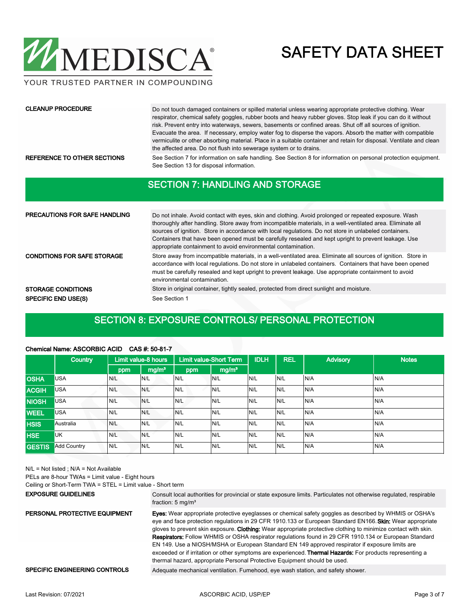

YOUR TRUSTED PARTNER IN COMPOUNDING

#### CLEANUP PROCEDURE

Do not touch damaged containers or spilled material unless wearing appropriate protective clothing. Wear respirator, chemical safety goggles, rubber boots and heavy rubber gloves. Stop leak if you can do it without risk. Prevent entry into waterways, sewers, basements or confined areas. Shut off all sources of ignition. Evacuate the area. If necessary, employ water fog to disperse the vapors. Absorb the matter with compatible vermiculite or other absorbing material. Place in a suitable container and retain for disposal. Ventilate and clean the affected area. Do not flush into sewerage system or to drains.

REFERENCE TO OTHER SECTIONS See Section 7 for information on safe handling. See Section 8 for information on personal protection equipment. See Section 13 for disposal information.

### SECTION 7: HANDLING AND STORAGE

| <b>PRECAUTIONS FOR SAFE HANDLING</b> | Do not inhale. Avoid contact with eyes, skin and clothing. Avoid prolonged or repeated exposure. Wash<br>thoroughly after handling. Store away from incompatible materials, in a well-ventilated area. Eliminate all<br>sources of ignition. Store in accordance with local regulations. Do not store in unlabeled containers.<br>Containers that have been opened must be carefully resealed and kept upright to prevent leakage. Use<br>appropriate containment to avoid environmental contamination. |  |  |  |  |
|--------------------------------------|---------------------------------------------------------------------------------------------------------------------------------------------------------------------------------------------------------------------------------------------------------------------------------------------------------------------------------------------------------------------------------------------------------------------------------------------------------------------------------------------------------|--|--|--|--|
| <b>CONDITIONS FOR SAFE STORAGE</b>   | Store away from incompatible materials, in a well-ventilated area. Eliminate all sources of ignition. Store in<br>accordance with local regulations. Do not store in unlabeled containers. Containers that have been opened<br>must be carefully resealed and kept upright to prevent leakage. Use appropriate containment to avoid<br>environmental contamination.                                                                                                                                     |  |  |  |  |
| <b>STORAGE CONDITIONS</b>            | Store in original container, tightly sealed, protected from direct sunlight and moisture.                                                                                                                                                                                                                                                                                                                                                                                                               |  |  |  |  |
| <b>SPECIFIC END USE(S)</b>           | See Section 1                                                                                                                                                                                                                                                                                                                                                                                                                                                                                           |  |  |  |  |

### SECTION 8: EXPOSURE CONTROLS/ PERSONAL PROTECTION

#### Chemical Name: ASCORBIC ACID CAS #: 50-81-7

|               | <b>Country</b>     |     | Limit value-8 hours |     | <b>Limit value-Short Term</b> | <b>IDLH</b> | <b>REL</b> | <b>Advisory</b> | <b>Notes</b> |
|---------------|--------------------|-----|---------------------|-----|-------------------------------|-------------|------------|-----------------|--------------|
|               |                    | ppm | mg/m <sup>3</sup>   | ppm | mg/m <sup>3</sup>             |             |            |                 |              |
| <b>OSHA</b>   | <b>USA</b>         | N/L | N/L                 | N/L | N/L                           | N/L         | N/L        | N/A             | N/A          |
| <b>ACGIH</b>  | <b>USA</b>         | N/L | N/L                 | N/L | N/L                           | N/L         | N/L        | N/A             | N/A          |
| <b>NIOSH</b>  | <b>USA</b>         | N/L | N/L                 | N/L | N/L                           | N/L         | N/L        | N/A             | N/A          |
| <b>WEEL</b>   | <b>USA</b>         | N/L | N/L                 | N/L | N/L                           | N/L         | N/L        | N/A             | N/A          |
| <b>HSIS</b>   | Australia          | N/L | N/L                 | N/L | N/L                           | N/L         | IN/L       | N/A             | N/A          |
| <b>HSE</b>    | <b>UK</b>          | N/L | N/L                 | N/L | N/L                           | N/L         | N/L        | N/A             | N/A          |
| <b>GESTIS</b> | <b>Add Country</b> | N/L | N/L                 | N/L | N/L                           | N/L         | N/L        | N/A             | N/A          |

N/L = Not listed ; N/A = Not Available

PELs are 8-hour TWAs = Limit value - Eight hours

Ceiling or Short-Term TWA = STEL = Limit value - Short term

#### EXPOSURE GUIDELINES

Consult local authorities for provincial or state exposure limits. Particulates not otherwise regulated, respirable fraction: 5 mg/m<sup>3</sup>

Eyes: Wear appropriate protective eyeglasses or chemical safety goggles as described by WHMIS or OSHA's eye and face protection regulations in 29 CFR 1910.133 or European Standard EN166. Skin: Wear appropriate gloves to prevent skin exposure. Clothing: Wear appropriate protective clothing to minimize contact with skin. Respirators: Follow WHMIS or OSHA respirator regulations found in 29 CFR 1910.134 or European Standard EN 149. Use a NIOSH/MSHA or European Standard EN 149 approved respirator if exposure limits are exceeded or if irritation or other symptoms are experienced. Thermal Hazards: For products representing a thermal hazard, appropriate Personal Protective Equipment should be used. PERSONAL PROTECTIVE EQUIPMENT

### SPECIFIC ENGINEERING CONTROLS Adequate mechanical ventilation. Fumehood, eye wash station, and safety shower.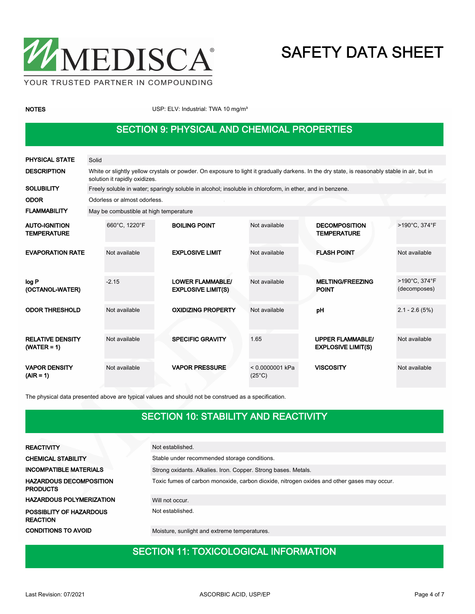

NOTES NOTES USP: ELV: Industrial: TWA 10 mg/m<sup>3</sup>

### SECTION 9: PHYSICAL AND CHEMICAL PROPERTIES

| <b>PHYSICAL STATE</b>                      | Solid |                                                                                                                                                                                |                                                      |  |                                      |  |                                                      |                               |  |
|--------------------------------------------|-------|--------------------------------------------------------------------------------------------------------------------------------------------------------------------------------|------------------------------------------------------|--|--------------------------------------|--|------------------------------------------------------|-------------------------------|--|
| <b>DESCRIPTION</b>                         |       | White or slightly yellow crystals or powder. On exposure to light it gradually darkens. In the dry state, is reasonably stable in air, but in<br>solution it rapidly oxidizes. |                                                      |  |                                      |  |                                                      |                               |  |
| <b>SOLUBILITY</b>                          |       | Freely soluble in water; sparingly soluble in alcohol; insoluble in chloroform, in ether, and in benzene.                                                                      |                                                      |  |                                      |  |                                                      |                               |  |
| <b>ODOR</b>                                |       | Odorless or almost odorless.                                                                                                                                                   |                                                      |  |                                      |  |                                                      |                               |  |
| <b>FLAMMABILITY</b>                        |       | May be combustible at high temperature                                                                                                                                         |                                                      |  |                                      |  |                                                      |                               |  |
| <b>AUTO-IGNITION</b><br><b>TEMPERATURE</b> |       | 660°C, 1220°F                                                                                                                                                                  | <b>BOILING POINT</b>                                 |  | Not available                        |  | <b>DECOMPOSITION</b><br><b>TEMPERATURE</b>           | >190°C, 374°F                 |  |
| <b>EVAPORATION RATE</b>                    |       | Not available                                                                                                                                                                  | <b>EXPLOSIVE LIMIT</b>                               |  | Not available                        |  | <b>FLASH POINT</b>                                   | Not available                 |  |
| log P<br>(OCTANOL-WATER)                   |       | $-2.15$                                                                                                                                                                        | <b>LOWER FLAMMABLE/</b><br><b>EXPLOSIVE LIMIT(S)</b> |  | Not available                        |  | <b>MELTING/FREEZING</b><br><b>POINT</b>              | >190°C, 374°F<br>(decomposes) |  |
| <b>ODOR THRESHOLD</b>                      |       | Not available                                                                                                                                                                  | <b>OXIDIZING PROPERTY</b>                            |  | Not available                        |  | pH                                                   | $2.1 - 2.6(5%)$               |  |
| <b>RELATIVE DENSITY</b><br>$(WATER = 1)$   |       | Not available                                                                                                                                                                  | <b>SPECIFIC GRAVITY</b>                              |  | 1.65                                 |  | <b>UPPER FLAMMABLE/</b><br><b>EXPLOSIVE LIMIT(S)</b> | Not available                 |  |
| <b>VAPOR DENSITY</b><br>$(AIR = 1)$        |       | Not available                                                                                                                                                                  | <b>VAPOR PRESSURE</b>                                |  | $< 0.0000001$ kPa<br>$(25^{\circ}C)$ |  | <b>VISCOSITY</b>                                     | Not available                 |  |

The physical data presented above are typical values and should not be construed as a specification.

### SECTION 10: STABILITY AND REACTIVITY

| <b>REACTIVITY</b>                                 | Not established.                                                                           |  |  |  |  |
|---------------------------------------------------|--------------------------------------------------------------------------------------------|--|--|--|--|
| <b>CHEMICAL STABILITY</b>                         | Stable under recommended storage conditions.                                               |  |  |  |  |
| <b>INCOMPATIBLE MATERIALS</b>                     | Strong oxidants. Alkalies. Iron. Copper. Strong bases. Metals.                             |  |  |  |  |
| <b>HAZARDOUS DECOMPOSITION</b><br><b>PRODUCTS</b> | Toxic fumes of carbon monoxide, carbon dioxide, nitrogen oxides and other gases may occur. |  |  |  |  |
| <b>HAZARDOUS POLYMERIZATION</b>                   | Will not occur.                                                                            |  |  |  |  |
| POSSIBLITY OF HAZARDOUS<br><b>REACTION</b>        | Not established.                                                                           |  |  |  |  |
| <b>CONDITIONS TO AVOID</b>                        | Moisture, sunlight and extreme temperatures.                                               |  |  |  |  |

## SECTION 11: TOXICOLOGICAL INFORMATION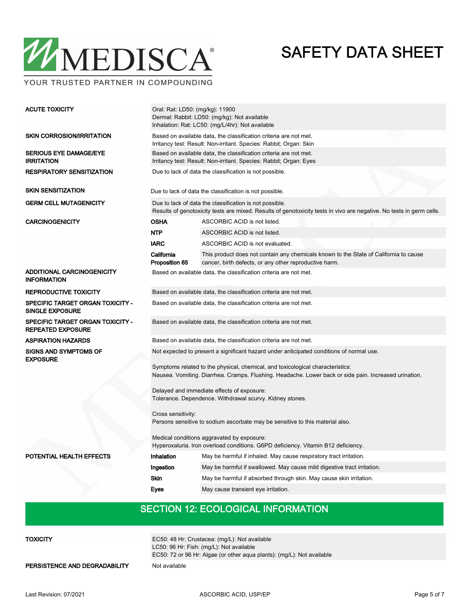

Oral: Rat: LD50: (mg/kg): 11900 Dermal: Rabbit: LD50: (mg/kg): Not available Inhalation: Rat: LC50: (mg/L/4hr): Not available ACUTE TOXICITY Based on available data, the classification criteria are not met. Irritancy test: Result: Non-irritant. Species: Rabbit; Organ: Skin SKIN CORROSION/IRRITATION Based on available data, the classification criteria are not met. Irritancy test: Result: Non-irritant. Species: Rabbit; Organ: Eyes SERIOUS EYE DAMAGE/EYE IRRITATION RESPIRATORY SENSITIZATION Due to lack of data the classification is not possible. SKIN SENSITIZATION Due to lack of data the classification is not possible. Due to lack of data the classification is not possible. Results of genotoxicity tests are mixed. Results of genotoxicity tests in vivo are negative. No tests in germ cells. GERM CELL MUTAGENICITY CARCINOGENICITY OSHA ASCORBIC ACID is not listed. NTP ASCORBIC ACID is not listed. IARC ASCORBIC ACID is not evaluated. This product does not contain any chemicals known to the State of California to cause cancer, birth defects, or any other reproductive harm. California Proposition 65 ADDITIONAL CARCINOGENICITY INFORMATION Based on available data, the classification criteria are not met. REPRODUCTIVE TOXICITY **Based on available data, the classification criteria are not met.** SPECIFIC TARGET ORGAN TOXICITY - Based on available data, the classification criteria are not met. SINGLE EXPOSURE **SPECIFIC TARGET ORGAN TOXICITY -** Based on available data, the classification criteria are not met. REPEATED EXPOSURE ASPIRATION HAZARDS Based on available data, the classification criteria are not met. Not expected to present a significant hazard under anticipated conditions of normal use. Symptoms related to the physical, chemical, and toxicological characteristics: Nausea. Vomiting. Diarrhea. Cramps. Flushing. Headache. Lower back or side pain. Increased urination. Delayed and immediate effects of exposure: Tolerance. Dependence. Withdrawal scurvy. Kidney stones. Cross sensitivity: Persons sensitive to sodium ascorbate may be sensitive to this material also. Medical conditions aggravated by exposure: Hyperoxaluria. Iron overload conditions. G6PD deficiency. Vitamin B12 deficiency. SIGNS AND SYMPTOMS OF EXPOSURE POTENTIAL HEALTH EFFECTS Inhalation May be harmful if inhaled. May cause respiratory tract irritation. Ingestion May be harmful if swallowed. May cause mild digestive tract irritation. Skin May be harmful if absorbed through skin. May cause skin irritation. Eyes May cause transient eye irritation.

### SECTION 12: ECOLOGICAL INFORMATION

**TOXICITY** 

EC50: 48 Hr: Crustacea: (mg/L): Not available LC50: 96 Hr: Fish: (mg/L): Not available EC50: 72 or 96 Hr: Algae (or other aqua plants): (mg/L): Not available

PERSISTENCE AND DEGRADABILITY Not available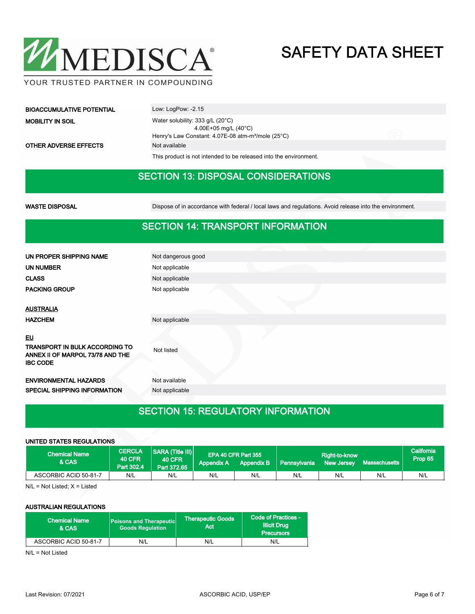

| <b>BIOACCUMULATIVE POTENTIAL</b> | Low: $LogPow: -2.15$                                                           |  |  |  |
|----------------------------------|--------------------------------------------------------------------------------|--|--|--|
| <b>MOBILITY IN SOIL</b>          | Water solubility: $333$ g/L ( $20^{\circ}$ C)<br>4.00E+05 mg/L $(40^{\circ}C)$ |  |  |  |
|                                  | Henry's Law Constant: 4.07E-08 atm-m <sup>3</sup> /mole (25°C)                 |  |  |  |
| <b>OTHER ADVERSE EFFECTS</b>     | Not available                                                                  |  |  |  |

This product is not intended to be released into the environment.

### SECTION 13: DISPOSAL CONSIDERATIONS

WASTE DISPOSAL **Dispose of in accordance with federal / local laws and regulations**. Avoid release into the environment.

### SECTION 14: TRANSPORT INFORMATION

| UN PROPER SHIPPING NAME                             | Not dangerous good |
|-----------------------------------------------------|--------------------|
| UN NUMBER                                           | Not applicable     |
| <b>CLASS</b>                                        | Not applicable     |
| <b>PACKING GROUP</b>                                | Not applicable     |
|                                                     |                    |
| <b>AUSTRALIA</b>                                    |                    |
| <b>HAZCHEM</b>                                      | Not applicable     |
|                                                     |                    |
| EU                                                  |                    |
| TRANSPORT IN BULK ACCORDING TO                      | Not listed         |
| ANNEX II OF MARPOL 73/78 AND THE<br><b>IBC CODE</b> |                    |
|                                                     |                    |
| <b>ENVIRONMENTAL HAZARDS</b>                        | Not available      |
| <b>SPECIAL SHIPPING INFORMATION</b>                 | Not applicable     |
|                                                     |                    |

### SECTION 15: REGULATORY INFORMATION

#### UNITED STATES REGULATIONS

| <b>Chemical Name</b><br>& CAS | <b>CERCLA</b><br><b>40 CFR</b><br>Part 302.4 | <b>SARA (Title III)</b><br><b>40 CFR</b><br>Part 372.65 | Appendix A | EPA 40 CFR Part 355 | Appendix B   Pennsylvania | Right-to-know<br>New Jersey |     | California<br>Prop 65 |
|-------------------------------|----------------------------------------------|---------------------------------------------------------|------------|---------------------|---------------------------|-----------------------------|-----|-----------------------|
| ASCORBIC ACID 50-81-7         | N/L                                          | N/L                                                     | N/L        | N/L                 | N/L                       | N/L                         | N/L | N/L                   |

N/L = Not Listed; X = Listed

### AUSTRALIAN REGULATIONS

| <b>Chemical Name</b><br>& CAS | <b>Poisons and Therapeutic</b><br><b>Goods Requlation</b> | <b>Therapeutic Goods</b><br>Act | Code of Practices -<br><b>Illicit Drug</b><br><b>Precursors</b> |  |
|-------------------------------|-----------------------------------------------------------|---------------------------------|-----------------------------------------------------------------|--|
| ASCORBIC ACID 50-81-7         | N/L                                                       | N/L                             | N/L                                                             |  |

N/L = Not Listed